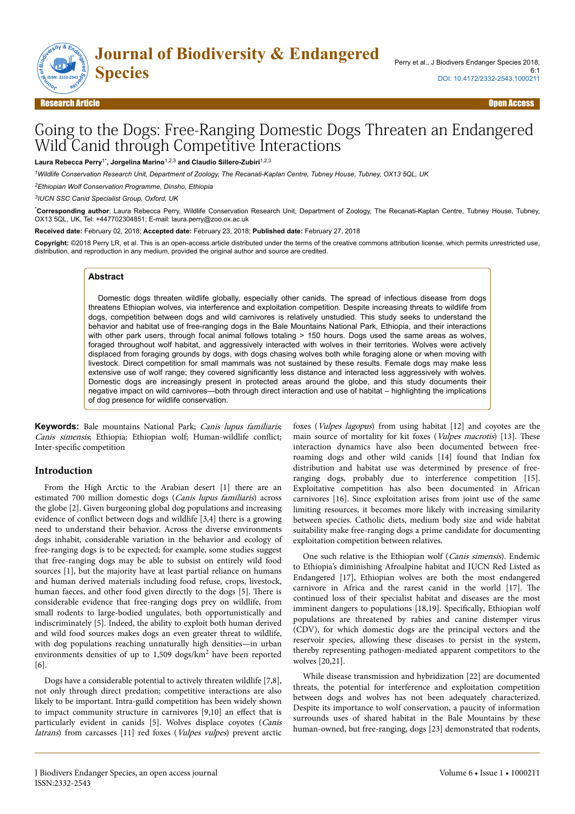

Research Article Open Access

# Going to the Dogs: Free-Ranging Domestic Dogs Threaten an Endangered Wild Canid through Competitive Interactions

**Laura Rebecca Perry**1\***, Jorgelina Marino**1,2,3 **and Claudio Sillero-Zubiri**1,2,3

*<sup>1</sup>Wildlife Conservation Research Unit, Department of Zoology, The Recanati-Kaplan Centre, Tubney House, Tubney, OX13 5QL, UK*

*<sup>2</sup>Ethiopian Wolf Conservation Programme, Dinsho, Ethiopia*

*3 IUCN SSC Canid Specialist Group, Oxford, UK*

\***Corresponding author**: Laura Rebecca Perry, Wildlife Conservation Research Unit, Department of Zoology, The Recanati-Kaplan Centre, Tubney House, Tubney, OX13 5QL, UK, Tel: +447702304851; E-mail: laura.perry@zoo.ox.ac.uk

**Received date:** February 02, 2018; **Accepted date:** February 23, 2018; **Published date:** February 27, 2018

**Copyright:** ©2018 Perry LR, et al. This is an open-access article distributed under the terms of the creative commons attribution license, which permits unrestricted use, distribution, and reproduction in any medium, provided the original author and source are credited.

## **Abstract**

Domestic dogs threaten wildlife globally, especially other canids. The spread of infectious disease from dogs threatens Ethiopian wolves, via interference and exploitation competition. Despite increasing threats to wildlife from dogs, competition between dogs and wild carnivores is relatively unstudied. This study seeks to understand the behavior and habitat use of free-ranging dogs in the Bale Mountains National Park, Ethiopia, and their interactions with other park users, through focal animal follows totaling > 150 hours. Dogs used the same areas as wolves, foraged throughout wolf habitat, and aggressively interacted with wolves in their territories. Wolves were actively displaced from foraging grounds by dogs, with dogs chasing wolves both while foraging alone or when moving with livestock. Direct competition for small mammals was not sustained by these results. Female dogs may make less extensive use of wolf range; they covered significantly less distance and interacted less aggressively with wolves. Domestic dogs are increasingly present in protected areas around the globe, and this study documents their negative impact on wild carnivores—both through direct interaction and use of habitat – highlighting the implications of dog presence for wildlife conservation.

**Keywords:** Bale mountains National Park; Canis lupus familiaris; Canis simensis; Ethiopia; Ethiopian wolf; Human-wildlife conflict Inter-specific competition

## **Introduction**

From the High Arctic to the Arabian desert [1] there are an estimated 700 million domestic dogs (Canis lupus familiaris) across the globe [2]. Given burgeoning global dog populations and increasing evidence of conflict between dogs and wildlife [3,4] there is a growing need to understand their behavior. Across the diverse environments dogs inhabit, considerable variation in the behavior and ecology of free-ranging dogs is to be expected; for example, some studies suggest that free-ranging dogs may be able to subsist on entirely wild food sources [1], but the majority have at least partial reliance on humans and human derived materials including food refuse, crops, livestock, human faeces, and other food given directly to the dogs [5]. Нere is considerable evidence that free-ranging dogs prey on wildlife, from small rodents to large-bodied ungulates, both opportunistically and indiscriminately [5]. Indeed, the ability to exploit both human derived and wild food sources makes dogs an even greater threat to wildlife, with dog populations reaching unnaturally high densities—in urban environments densities of up to 1,509 dogs/km<sup>2</sup> have been reported [6].

Dogs have a considerable potential to actively threaten wildlife [7,8], not only through direct predation; competitive interactions are also likely to be important. Intra-guild competition has been widely shown to impact community structure in carnivores [9,10] an effect that is particularly evident in canids [5]. Wolves displace coyotes (Canis latrans) from carcasses [11] red foxes (Vulpes vulpes) prevent arctic

foxes (Vulpes lagopus) from using habitat [12] and coyotes are the main source of mortality for kit foxes (*Vulpes macrotis*) [13]. These interaction dynamics have also been documented between freeroaming dogs and other wild canids [14] found that Indian fox distribution and habitat use was determined by presence of freeranging dogs, probably due to interference competition [15]. Exploitative competition has also been documented in African carnivores [16]. Since exploitation arises from joint use of the same limiting resources, it becomes more likely with increasing similarity between species. Catholic diets, medium body size and wide habitat suitability make free-ranging dogs a prime candidate for documenting exploitation competition between relatives.

One such relative is the Ethiopian wolf (Canis simensis). Endemic to Ethiopia's diminishing Afroalpine habitat and IUCN Red Listed as Endangered [17], Ethiopian wolves are both the most endangered carnivore in Africa and the rarest canid in the world [17]. Нe continued loss of their specialist habitat and diseases are the most imminent dangers to populations [18,19]. Specifically, Ethiopian wolf populations are threatened by rabies and canine distemper virus (CDV), for which domestic dogs are the principal vectors and the reservoir species, allowing these diseases to persist in the system, thereby representing pathogen-mediated apparent competitors to the wolves [20,21].

While disease transmission and hybridization [22] are documented threats, the potential for interference and exploitation competition between dogs and wolves has not been adequately characterized. Despite its importance to wolf conservation, a paucity of information surrounds uses of shared habitat in the Bale Mountains by these human-owned, but free-ranging, dogs [23] demonstrated that rodents,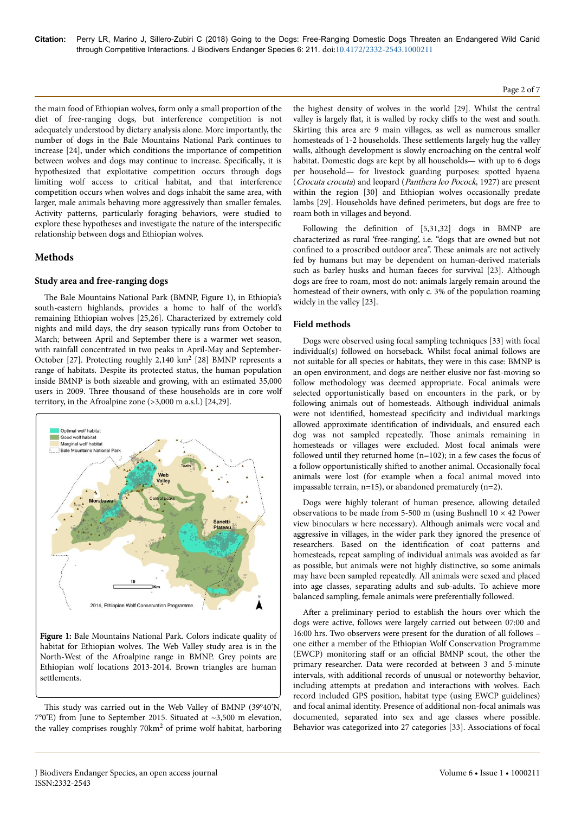the main food of Ethiopian wolves, form only a small proportion of the diet of free-ranging dogs, but interference competition is not adequately understood by dietary analysis alone. More importantly, the number of dogs in the Bale Mountains National Park continues to increase [24], under which conditions the importance of competition between wolves and dogs may continue to increase. Specifically, it is hypothesized that exploitative competition occurs through dogs limiting wolf access to critical habitat, and that interference competition occurs when wolves and dogs inhabit the same area, with larger, male animals behaving more aggressively than smaller females. Activity patterns, particularly foraging behaviors, were studied to explore these hypotheses and investigate the nature of the interspecific relationship between dogs and Ethiopian wolves.

## **Methods**

## **Study area and free-ranging dogs**

The Bale Mountains National Park (BMNP, Figure 1), in Ethiopia's south-eastern highlands, provides a home to half of the world's remaining Ethiopian wolves [25,26]. Characterized by extremely cold nights and mild days, the dry season typically runs from October to March; between April and September there is a warmer wet season, with rainfall concentrated in two peaks in April-May and September-October [27]. Protecting roughly 2,140  $km^2$  [28] BMNP represents a range of habitats. Despite its protected status, the human population inside BMNP is both sizeable and growing, with an estimated 35,000 users in 2009. Нree thousand of these households are in core wolf territory, in the Afroalpine zone (>3,000 m a.s.l.) [24,29].



Figure 1: Bale Mountains National Park. Colors indicate quality of habitat for Ethiopian wolves. Нe Web Valley study area is in the North-West of the Afroalpine range in BMNP. Grey points are Ethiopian wolf locations 2013-2014. Brown triangles are human settlements.

This study was carried out in the Web Valley of BMNP (39°40'N, 7°0'E) from June to September 2015. Situated at ~3,500 m elevation, the valley comprises roughly 70km<sup>2</sup> of prime wolf habitat, harboring

## Page 2 of 7

the highest density of wolves in the world [29]. Whilst the central valley is largely flat, it is walled by rocky cliffs to the west and south. Skirting this area are 9 main villages, as well as numerous smaller homesteads of 1-2 households. These settlements largely hug the valley walls, although development is slowly encroaching on the central wolf habitat. Domestic dogs are kept by all households— with up to 6 dogs per household— for livestock guarding purposes: spotted hyaena (Crocuta crocuta) and leopard (Panthera leo Pocock, 1927) are present within the region [30] and Ethiopian wolves occasionally predate lambs [29]. Households have defined perimeters, but dogs are free to roam both in villages and beyond.

Following the definition of [5,31,32] dogs in BMNP are characterized as rural 'free-ranging', i.e. "dogs that are owned but not confined to a proscribed outdoor area". Нese animals are not actively fed by humans but may be dependent on human-derived materials such as barley husks and human faeces for survival [23]. Although dogs are free to roam, most do not: animals largely remain around the homestead of their owners, with only c. 3% of the population roaming widely in the valley [23].

## **Field methods**

Dogs were observed using focal sampling techniques [33] with focal individual(s) followed on horseback. Whilst focal animal follows are not suitable for all species or habitats, they were in this case: BMNP is an open environment, and dogs are neither elusive nor fast-moving so follow methodology was deemed appropriate. Focal animals were selected opportunistically based on encounters in the park, or by following animals out of homesteads. Although individual animals were not identified, homestead specificity and individual markings allowed approximate identification of individuals, and ensured each dog was not sampled repeatedly. Нose animals remaining in homesteads or villages were excluded. Most focal animals were followed until they returned home (n=102); in a few cases the focus of a follow opportunistically shifted to another animal. Occasionally focal animals were lost (for example when a focal animal moved into impassable terrain, n=15), or abandoned prematurely (n=2).

Dogs were highly tolerant of human presence, allowing detailed observations to be made from 5-500 m (using Bushnell  $10 \times 42$  Power view binoculars w here necessary). Although animals were vocal and aggressive in villages, in the wider park they ignored the presence of researchers. Based on the identification of coat patterns and homesteads, repeat sampling of individual animals was avoided as far as possible, but animals were not highly distinctive, so some animals may have been sampled repeatedly. All animals were sexed and placed into age classes, separating adults and sub-adults. To achieve more balanced sampling, female animals were preferentially followed.

After a preliminary period to establish the hours over which the dogs were active, follows were largely carried out between 07:00 and 16:00 hrs. Two observers were present for the duration of all follows – one either a member of the Ethiopian Wolf Conservation Programme (EWCP) monitoring staff or an official BMNP scout, the other the primary researcher. Data were recorded at between 3 and 5-minute intervals, with additional records of unusual or noteworthy behavior, including attempts at predation and interactions with wolves. Each record included GPS position, habitat type (using EWCP guidelines) and focal animal identity. Presence of additional non-focal animals was documented, separated into sex and age classes where possible. Behavior was categorized into 27 categories [33]. Associations of focal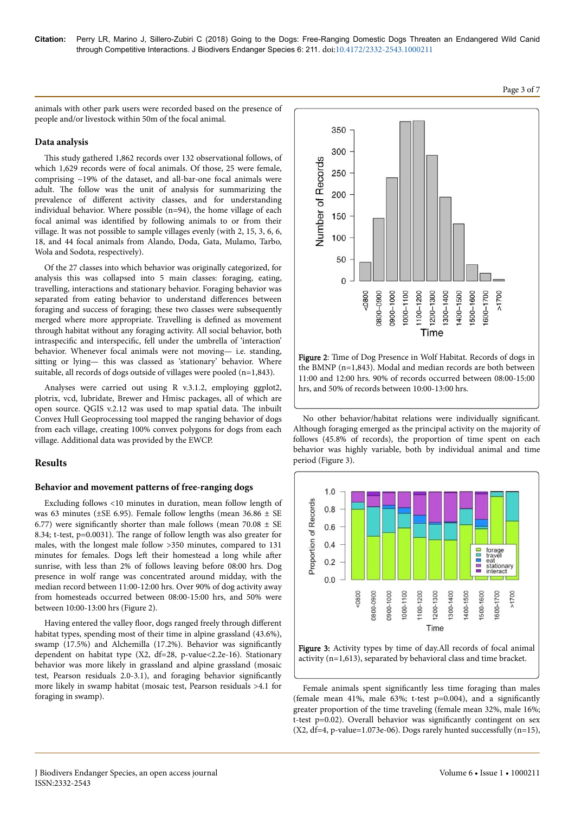**Citation:** Perry LR, Marino J, Sillero-Zubiri C (2018) Going to the Dogs: Free-Ranging Domestic Dogs Threaten an Endangered Wild Canid through Competitive Interactions. J Biodivers Endanger Species 6: 211. doi:10.4172/2332-2543.1000211

animals with other park users were recorded based on the presence of people and/or livestock within 50m of the focal animal.

## **Data analysis**

This study gathered 1,862 records over 132 observational follows, of which 1,629 records were of focal animals. Of those, 25 were female, comprising ~19% of the dataset, and all-bar-one focal animals were adult. Нe follow was the unit of analysis for summarizing the prevalence of different activity classes, and for understanding individual behavior. Where possible (n=94), the home village of each focal animal was identified by following animals to or from their village. It was not possible to sample villages evenly (with 2, 15, 3, 6, 6, 18, and 44 focal animals from Alando, Doda, Gata, Mulamo, Tarbo, Wola and Sodota, respectively).

Of the 27 classes into which behavior was originally categorized, for analysis this was collapsed into 5 main classes: foraging, eating, travelling, interactions and stationary behavior. Foraging behavior was separated from eating behavior to understand differences between foraging and success of foraging; these two classes were subsequently merged where more appropriate. Travelling is defined as movement through habitat without any foraging activity. All social behavior, both intraspecific and interspecific, fell under the umbrella of 'interaction' behavior. Whenever focal animals were not moving— i.e. standing, sitting or lying— this was classed as 'stationary' behavior. Where suitable, all records of dogs outside of villages were pooled (n=1,843).

Analyses were carried out using R v.3.1.2, employing ggplot2, plotrix, vcd, lubridate, Brewer and Hmisc packages, all of which are open source. QGIS v.2.12 was used to map spatial data. Нe inbuilt Convex Hull Geoprocessing tool mapped the ranging behavior of dogs from each village, creating 100% convex polygons for dogs from each village. Additional data was provided by the EWCP.

## **Results**

#### **Behavior and movement patterns of free-ranging dogs**

Excluding follows <10 minutes in duration, mean follow length of was 63 minutes ( $\pm$ SE 6.95). Female follow lengths (mean 36.86  $\pm$  SE 6.77) were significantly shorter than male follows (mean 70.08  $\pm$  SE 8.34; t-test, p=0.0031). Нe range of follow length was also greater for males, with the longest male follow >350 minutes, compared to 131 minutes for females. Dogs left their homestead a long while after sunrise, with less than 2% of follows leaving before 08:00 hrs. Dog presence in wolf range was concentrated around midday, with the median record between 11:00-12:00 hrs. Over 90% of dog activity away from homesteads occurred between 08:00-15:00 hrs, and 50% were between 10:00-13:00 hrs (Figure 2).

Having entered the valley floor, dogs ranged freely through different habitat types, spending most of their time in alpine grassland (43.6%), swamp (17.5%) and Alchemilla (17.2%). Behavior was significantly dependent on habitat type (X2, df=28, p-value<2.2e-16). Stationary behavior was more likely in grassland and alpine grassland (mosaic test, Pearson residuals 2.0-3.1), and foraging behavior significantly more likely in swamp habitat (mosaic test, Pearson residuals >4.1 for foraging in swamp).



Figure 2: Time of Dog Presence in Wolf Habitat. Records of dogs in the BMNP (n=1,843). Modal and median records are both between 11:00 and 12:00 hrs. 90% of records occurred between 08:00-15:00 hrs, and 50% of records between 10:00-13:00 hrs.

No other behavior/habitat relations were individually significant. Although foraging emerged as the principal activity on the majority of follows (45.8% of records), the proportion of time spent on each behavior was highly variable, both by individual animal and time period (Figure 3).



Figure 3: Activity types by time of day.All records of focal animal activity (n=1,613), separated by behavioral class and time bracket.

Female animals spent significantly less time foraging than males (female mean 41%, male  $63\%$ ; t-test p=0.004), and a significantly greater proportion of the time traveling (female mean 32%, male 16%; t-test  $p=0.02$ ). Overall behavior was significantly contingent on sex  $(X2, df=4, p-value=1.073e-06)$ . Dogs rarely hunted successfully  $(n=15)$ ,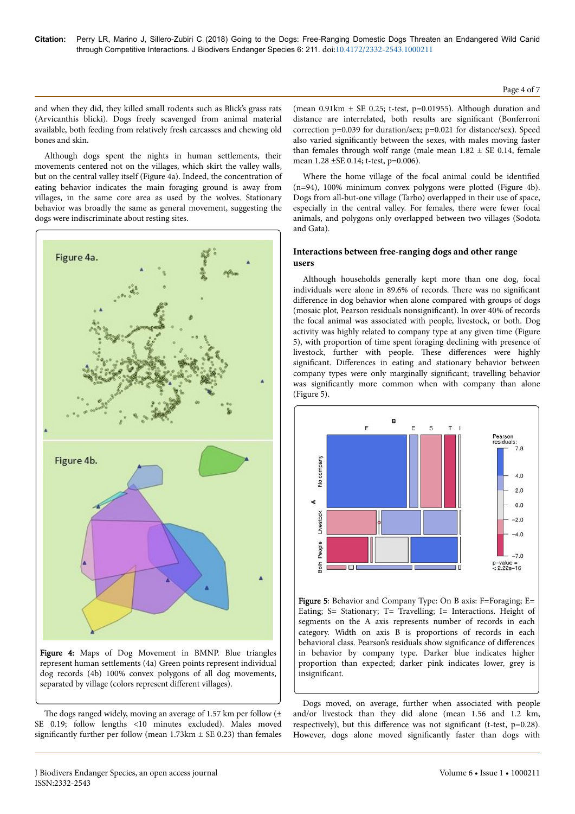## and when they did, they killed small rodents such as Blick's grass rats (Arvicanthis blicki). Dogs freely scavenged from animal material available, both feeding from relatively fresh carcasses and chewing old bones and skin.

Although dogs spent the nights in human settlements, their movements centered not on the villages, which skirt the valley walls, but on the central valley itself (Figure 4a). Indeed, the concentration of eating behavior indicates the main foraging ground is away from villages, in the same core area as used by the wolves. Stationary behavior was broadly the same as general movement, suggesting the dogs were indiscriminate about resting sites.



Figure 4: Maps of Dog Movement in BMNP. Blue triangles represent human settlements (4a) Green points represent individual dog records (4b) 100% convex polygons of all dog movements, separated by village (colors represent different villages).

The dogs ranged widely, moving an average of 1.57 km per follow  $(±$ SE 0.19; follow lengths <10 minutes excluded). Males moved significantly further per follow (mean  $1.73 \text{km} \pm \text{SE}$  0.23) than females (mean  $0.91 \text{km} \pm \text{SE}$  0.25; t-test, p=0.01955). Although duration and distance are interrelated, both results are significant (Bonferroni correction p=0.039 for duration/sex; p=0.021 for distance/sex). Speed also varied significantly between the sexes, with males moving faster than females through wolf range (male mean  $1.82 \pm SE$  0.14, female mean 1.28 ± SE 0.14; t-test, p=0.006).

Where the home village of the focal animal could be identified (n=94), 100% minimum convex polygons were plotted (Figure 4b). Dogs from all-but-one village (Tarbo) overlapped in their use of space, especially in the central valley. For females, there were fewer focal animals, and polygons only overlapped between two villages (Sodota and Gata).

# **Interactions between free-ranging dogs and other range users**

Although households generally kept more than one dog, focal individuals were alone in 89.6% of records. Нere was no significant difference in dog behavior when alone compared with groups of dogs (mosaic plot, Pearson residuals nonsignificant). In over 40% of records the focal animal was associated with people, livestock, or both. Dog activity was highly related to company type at any given time (Figure 5), with proportion of time spent foraging declining with presence of livestock, further with people. These differences were highly significant. Differences in eating and stationary behavior between company types were only marginally significant; travelling behavior was significantly more common when with company than alone (Figure 5).



Figure 5: Behavior and Company Type: On B axis: F=Foraging; E= Eating; S= Stationary; T= Travelling; I= Interactions. Height of segments on the A axis represents number of records in each category. Width on axis B is proportions of records in each behavioral class. Pearson's residuals show significance of differences in behavior by company type. Darker blue indicates higher proportion than expected; darker pink indicates lower, grey is insignificant.

Dogs moved, on average, further when associated with people and/or livestock than they did alone (mean 1.56 and 1.2 km, respectively), but this difference was not significant (t-test,  $p=0.28$ ). However, dogs alone moved significantly faster than dogs with

## Page 4 of 7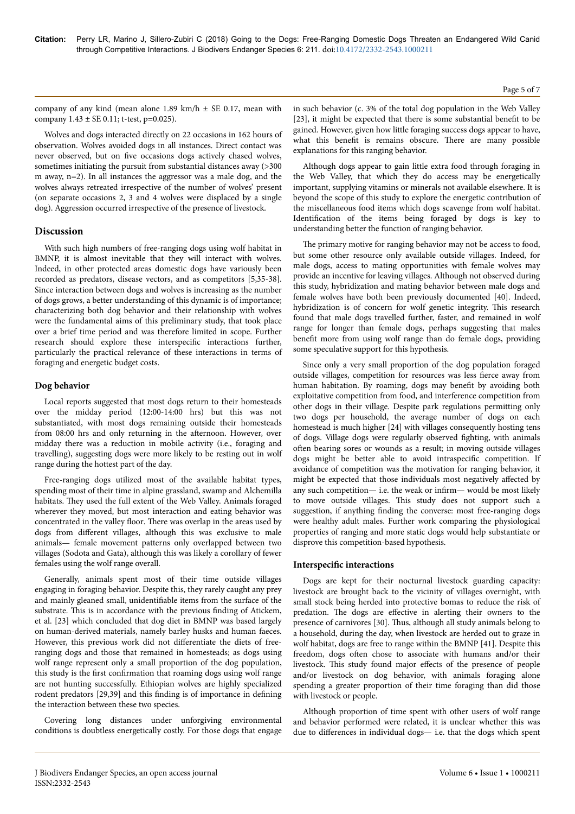Page 5 of 7

company of any kind (mean alone 1.89 km/h  $\pm$  SE 0.17, mean with company  $1.43 \pm SE$  0.11; t-test, p=0.025).

Wolves and dogs interacted directly on 22 occasions in 162 hours of observation. Wolves avoided dogs in all instances. Direct contact was never observed, but on five occasions dogs actively chased wolves, sometimes initiating the pursuit from substantial distances away (>300 m away, n=2). In all instances the aggressor was a male dog, and the wolves always retreated irrespective of the number of wolves' present (on separate occasions 2, 3 and 4 wolves were displaced by a single dog). Aggression occurred irrespective of the presence of livestock.

# **Discussion**

With such high numbers of free-ranging dogs using wolf habitat in BMNP, it is almost inevitable that they will interact with wolves. Indeed, in other protected areas domestic dogs have variously been recorded as predators, disease vectors, and as competitors [5,35-38]. Since interaction between dogs and wolves is increasing as the number of dogs grows, a better understanding of this dynamic is of importance; characterizing both dog behavior and their relationship with wolves were the fundamental aims of this preliminary study, that took place over a brief time period and was therefore limited in scope. Further research should explore these interspecific interactions further, particularly the practical relevance of these interactions in terms of foraging and energetic budget costs.

# **Dog behavior**

Local reports suggested that most dogs return to their homesteads over the midday period (12:00-14:00 hrs) but this was not substantiated, with most dogs remaining outside their homesteads from 08:00 hrs and only returning in the afternoon. However, over midday there was a reduction in mobile activity (i.e., foraging and travelling), suggesting dogs were more likely to be resting out in wolf range during the hottest part of the day.

Free-ranging dogs utilized most of the available habitat types, spending most of their time in alpine grassland, swamp and Alchemilla habitats. They used the full extent of the Web Valley. Animals foraged wherever they moved, but most interaction and eating behavior was concentrated in the valley floor. Нere was overlap in the areas used by dogs from different villages, although this was exclusive to male animals— female movement patterns only overlapped between two villages (Sodota and Gata), although this was likely a corollary of fewer females using the wolf range overall.

Generally, animals spent most of their time outside villages engaging in foraging behavior. Despite this, they rarely caught any prey and mainly gleaned small, unidentifiable items from the surface of the substrate. Нis is in accordance with the previous finding of Atickem, et al. [23] which concluded that dog diet in BMNP was based largely on human-derived materials, namely barley husks and human faeces. However, this previous work did not differentiate the diets of freeranging dogs and those that remained in homesteads; as dogs using wolf range represent only a small proportion of the dog population, this study is the first confirmation that roaming dogs using wolf range are not hunting successfully. Ethiopian wolves are highly specialized rodent predators [29,39] and this finding is of importance in defining the interaction between these two species.

Covering long distances under unforgiving environmental conditions is doubtless energetically costly. For those dogs that engage in such behavior (c. 3% of the total dog population in the Web Valley [23], it might be expected that there is some substantial benefit to be gained. However, given how little foraging success dogs appear to have, what this benefit is remains obscure. Нere are many possible explanations for this ranging behavior.

Although dogs appear to gain little extra food through foraging in the Web Valley, that which they do access may be energetically important, supplying vitamins or minerals not available elsewhere. It is beyond the scope of this study to explore the energetic contribution of the miscellaneous food items which dogs scavenge from wolf habitat.  $Id$ entification of the items being foraged by dogs is key to understanding better the function of ranging behavior.

The primary motive for ranging behavior may not be access to food, but some other resource only available outside villages. Indeed, for male dogs, access to mating opportunities with female wolves may provide an incentive for leaving villages. Although not observed during this study, hybridization and mating behavior between male dogs and female wolves have both been previously documented [40]. Indeed, hybridization is of concern for wolf genetic integrity. Нis research found that male dogs travelled further, faster, and remained in wolf range for longer than female dogs, perhaps suggesting that males benefit more from using wolf range than do female dogs, providing some speculative support for this hypothesis.

Since only a very small proportion of the dog population foraged outside villages, competition for resources was less fierce away from human habitation. By roaming, dogs may benefit by avoiding both exploitative competition from food, and interference competition from other dogs in their village. Despite park regulations permitting only two dogs per household, the average number of dogs on each homestead is much higher [24] with villages consequently hosting tens of dogs. Village dogs were regularly observed fighting, with animals often bearing sores or wounds as a result; in moving outside villages dogs might be better able to avoid intraspecific competition. If avoidance of competition was the motivation for ranging behavior, it might be expected that those individuals most negatively affected by any such competition— i.e. the weak or infirm— would be most likely to move outside villages. Нis study does not support such a suggestion, if anything finding the converse: most free-ranging dogs were healthy adult males. Further work comparing the physiological properties of ranging and more static dogs would help substantiate or disprove this competition-based hypothesis.

# **Interspecific interactions**

Dogs are kept for their nocturnal livestock guarding capacity: livestock are brought back to the vicinity of villages overnight, with small stock being herded into protective bomas to reduce the risk of predation. The dogs are effective in alerting their owners to the presence of carnivores [30]. Нus, although all study animals belong to a household, during the day, when livestock are herded out to graze in wolf habitat, dogs are free to range within the BMNP [41]. Despite this freedom, dogs often chose to associate with humans and/or their livestock. This study found major effects of the presence of people and/or livestock on dog behavior, with animals foraging alone spending a greater proportion of their time foraging than did those with livestock or people.

Although proportion of time spent with other users of wolf range and behavior performed were related, it is unclear whether this was due to differences in individual dogs— i.e. that the dogs which spent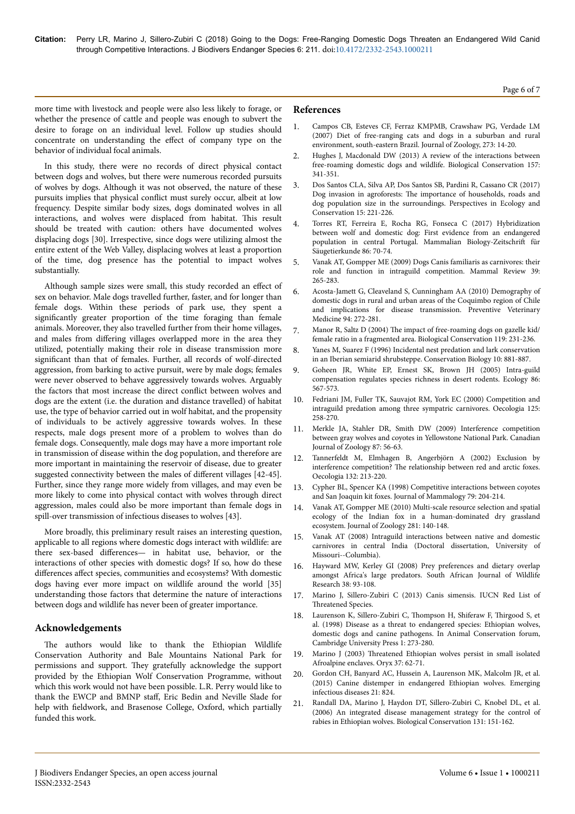more time with livestock and people were also less likely to forage, or whether the presence of cattle and people was enough to subvert the desire to forage on an individual level. Follow up studies should concentrate on understanding the effect of company type on the behavior of individual focal animals.

In this study, there were no records of direct physical contact between dogs and wolves, but there were numerous recorded pursuits of wolves by dogs. Although it was not observed, the nature of these pursuits implies that physical conflict must surely occur, albeit at low frequency. Despite similar body sizes, dogs dominated wolves in all interactions, and wolves were displaced from habitat. Нis result should be treated with caution: others have documented wolves displacing dogs [30]. Irrespective, since dogs were utilizing almost the entire extent of the Web Valley, displacing wolves at least a proportion of the time, dog presence has the potential to impact wolves substantially.

Although sample sizes were small, this study recorded an effect of sex on behavior. Male dogs travelled further, faster, and for longer than female dogs. Within these periods of park use, they spent a significantly greater proportion of the time foraging than female animals. Moreover, they also travelled further from their home villages, and males from differing villages overlapped more in the area they utilized, potentially making their role in disease transmission more significant than that of females. Further, all records of wolf-directed aggression, from barking to active pursuit, were by male dogs; females were never observed to behave aggressively towards wolves. Arguably the factors that most increase the direct conflict between wolves and dogs are the extent (i.e. the duration and distance travelled) of habitat use, the type of behavior carried out in wolf habitat, and the propensity of individuals to be actively aggressive towards wolves. In these respects, male dogs present more of a problem to wolves than do female dogs. Consequently, male dogs may have a more important role in transmission of disease within the dog population, and therefore are more important in maintaining the reservoir of disease, due to greater suggested connectivity between the males of different villages [42-45]. Further, since they range more widely from villages, and may even be more likely to come into physical contact with wolves through direct aggression, males could also be more important than female dogs in spill-over transmission of infectious diseases to wolves [43].

More broadly, this preliminary result raises an interesting question, applicable to all regions where domestic dogs interact with wildlife: are there sex-based differences- in habitat use, behavior, or the interactions of other species with domestic dogs? If so, how do these differences affect species, communities and ecosystems? With domestic dogs having ever more impact on wildlife around the world [35] understanding those factors that determine the nature of interactions between dogs and wildlife has never been of greater importance.

# **Acknowledgements**

The authors would like to thank the Ethiopian Wildlife Conservation Authority and Bale Mountains National Park for permissions and support. They gratefully acknowledge the support provided by the Ethiopian Wolf Conservation Programme, without which this work would not have been possible. L.R. Perry would like to thank the EWCP and BMNP staff, Eric Bedin and Neville Slade for help with fieldwork, and Brasenose College, Oxford, which partially funded this work.

## **References**

- 1. [Campos CB, Esteves CF, Ferraz KMPMB, Crawshaw PG, Verdade LM](https://doi.org/10.1111/j.1469-7998.2007.00291.x) [\(2007\) Diet of free‐ranging cats and dogs in a suburban and rural](https://doi.org/10.1111/j.1469-7998.2007.00291.x) [environment, south‐eastern Brazil. Journal of Zoology, 273: 14-20.](https://doi.org/10.1111/j.1469-7998.2007.00291.x)
- 2. Hughes J, Macdonald DW (2013) A review of the interactions between free-roaming domestic dogs and wildlife. Biological Conservation 157: 341-351.
- 3. Dos Santos CLA, Silva AP, Dos Santos SB, Pardini R, Cassano CR (2017) Dog invasion in agroforests: Нe importance of households, roads and dog population size in the surroundings. Perspectives in Ecology and Conservation 15: 221-226.
- 4. Torres RT, Ferreira E, Rocha RG, Fonseca C (2017) Hybridization between wolf and domestic dog: First evidence from an endangered population in central Portugal. Mammalian Biology-Zeitschrift für Säugetierkunde 86: 70-74.
- 5. [Vanak AT, Gompper ME \(2009\) Dogs Canis familiaris as carnivores: their](https://doi.org/10.1111/j.1365-2907.2009.00148.x) [role and function in intraguild competition. Mammal Review 39:](https://doi.org/10.1111/j.1365-2907.2009.00148.x) [265-283.](https://doi.org/10.1111/j.1365-2907.2009.00148.x)
- 6. Acosta-Jamett G, Cleaveland S, Cunningham AA (2010) Demography of domestic dogs in rural and urban areas of the Coquimbo region of Chile and implications for disease transmission. Preventive Veterinary Medicine 94: 272-281.
- Manor R, Saltz D (2004) The [impact of free-roaming dogs on gazelle kid/](https://doi.org/10.1016/j.biocon.2003.11.005) [female ratio in a fragmented area. Biological Conservation 119: 231-236.](https://doi.org/10.1016/j.biocon.2003.11.005)
- [Yanes M, Suarez F \(1996\) Incidental nest predation and lark conservation](https://doi.org/10.1046/j.1523-1739.1996.10030881.x) [in an Iberian semiarid shrubsteppe. Conservation Biology 10: 881-887.](https://doi.org/10.1046/j.1523-1739.1996.10030881.x)
- 9. [Goheen JR, White EP, Ernest SK, Brown JH \(2005\) Intra‐guild](https://doi.org/10.1890/04-1475) [compensation regulates species richness in desert rodents. Ecology 86:](https://doi.org/10.1890/04-1475) [567-573.](https://doi.org/10.1890/04-1475)
- 10. [Fedriani JM, Fuller TK, Sauvajot RM, York EC \(2000\) Competition and](https://doi.org/10.1007/s004420000448) [intraguild predation among three sympatric carnivores. Oecologia 125:](https://doi.org/10.1007/s004420000448) [258-270.](https://doi.org/10.1007/s004420000448)
- 11. [Merkle JA, Stahler DR, Smith DW \(2009\) Interference competition](https://doi.org/10.1139/z08-136) [between gray wolves and coyotes in Yellowstone National Park. Canadian](https://doi.org/10.1139/z08-136) [Journal of Zoology 87: 56-63.](https://doi.org/10.1139/z08-136)
- 12. Tannerfeldt M, Elmhagen B, Angerbjörn A (2002) Exclusion by interference competition? Нe relationship between red and arctic foxes. Oecologia 132: 213-220.
- 13. [Cypher BL, Spencer KA \(1998\) Competitive interactions between coyotes](https://doi.org/10.2307/1382855) [and San Joaquin kit foxes. Journal of Mammalogy 79: 204-214.](https://doi.org/10.2307/1382855)
- 14. Vanak AT, Gompper ME (2010) Multi-scale resource selection and spatial [ecology of the Indian fox in a human‐dominated dry grassland](https://doi.org/10.1111/j.1469-7998.2010.00690.x) [ecosystem. Journal of Zoology 281: 140-148.](https://doi.org/10.1111/j.1469-7998.2010.00690.x)
- 15. [Vanak AT \(2008\) Intraguild interactions between native and domestic](https://mospace.umsystem.edu/xmlui/bitstream/handle/10355/6640/research.pdf?sequence=3) [carnivores in central India \(Doctoral dissertation, University of](https://mospace.umsystem.edu/xmlui/bitstream/handle/10355/6640/research.pdf?sequence=3) [Missouri--Columbia\).](https://mospace.umsystem.edu/xmlui/bitstream/handle/10355/6640/research.pdf?sequence=3)
- 16. [Hayward MW, Kerley GI \(2008\) Prey preferences and dietary overlap](https://doi.org/10.3957/0379-4369-38.2.93) [amongst Africa's large predators. South African Journal of Wildlife](https://doi.org/10.3957/0379-4369-38.2.93) [Research 38: 93-108.](https://doi.org/10.3957/0379-4369-38.2.93)
- 17. [Marino J, Sillero-Zubiri C \(2013\) Canis simensis. IUCN Red List of](http://www.iucnredlist.org/details/3748/0) Threatened Species.
- 18. [Laurenson K, Sillero-Zubiri C,](https://doi.org/10.1017/s1367943098000250) Нompson H, Shiferaw F, Нirgood S, et [al. \(1998\) Disease as a threat to endangered species: Ethiopian wolves,](https://doi.org/10.1017/s1367943098000250) [domestic dogs and canine pathogens. In Animal Conservation forum,](https://doi.org/10.1017/s1367943098000250) [Cambridge University Press 1: 273-280.](https://doi.org/10.1017/s1367943098000250)
- 19. Marino J (2003) Нreatened [Ethiopian wolves persist in small isolated](https://doi.org/10.1017/s0030605303000139) [Afroalpine enclaves. Oryx 37: 62-71.](https://doi.org/10.1017/s0030605303000139)
- 20. [Gordon CH, Banyard AC, Hussein A, Laurenson MK, Malcolm JR, et al.](https://doi.org/10.3201/eid2105.141920) [\(2015\) Canine distemper in endangered Ethiopian wolves. Emerging](https://doi.org/10.3201/eid2105.141920) [infectious diseases 21: 824.](https://doi.org/10.3201/eid2105.141920)
- 21. [Randall DA, Marino J, Haydon DT, Sillero-Zubiri C, Knobel DL, et al.](https://doi.org/10.1016/j.biocon.2006.04.004) [\(2006\) An integrated disease management strategy for the control of](https://doi.org/10.1016/j.biocon.2006.04.004) [rabies in Ethiopian wolves. Biological Conservation 131: 151-162.](https://doi.org/10.1016/j.biocon.2006.04.004)